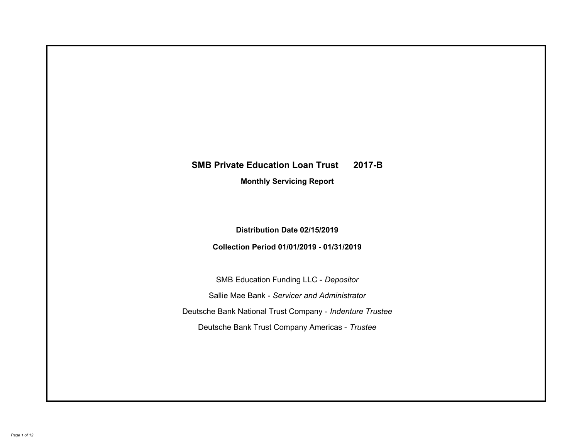# **SMB Private Education Loan Trust 2017-B Monthly Servicing Report**

## **Distribution Date 02/15/2019**

## **Collection Period 01/01/2019 - 01/31/2019**

SMB Education Funding LLC - *Depositor* Sallie Mae Bank - *Servicer and Administrator* Deutsche Bank National Trust Company - *Indenture Trustee* Deutsche Bank Trust Company Americas - *Trustee*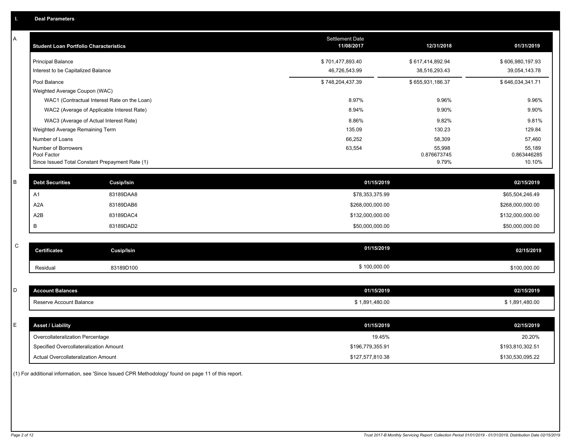| Α | <b>Student Loan Portfolio Characteristics</b>   |                                              | Settlement Date<br>11/08/2017 | 12/31/2018            | 01/31/2019            |
|---|-------------------------------------------------|----------------------------------------------|-------------------------------|-----------------------|-----------------------|
|   | <b>Principal Balance</b>                        |                                              | \$701,477,893.40              | \$617,414,892.94      | \$606,980,197.93      |
|   | Interest to be Capitalized Balance              |                                              | 46,726,543.99                 | 38,516,293.43         | 39,054,143.78         |
|   | Pool Balance                                    |                                              | \$748,204,437.39              | \$655,931,186.37      | \$646,034,341.71      |
|   | Weighted Average Coupon (WAC)                   |                                              |                               |                       |                       |
|   |                                                 | WAC1 (Contractual Interest Rate on the Loan) | 8.97%                         | 9.96%                 | 9.96%                 |
|   |                                                 | WAC2 (Average of Applicable Interest Rate)   | 8.94%                         | 9.90%                 | 9.90%                 |
|   | WAC3 (Average of Actual Interest Rate)          |                                              | 8.86%                         | 9.82%                 | 9.81%                 |
|   | Weighted Average Remaining Term                 |                                              | 135.09                        | 130.23                | 129.84                |
|   | Number of Loans                                 |                                              | 66,252                        | 58,309                | 57,460                |
|   | Number of Borrowers<br>Pool Factor              |                                              | 63,554                        | 55,998<br>0.876673745 | 55,189<br>0.863446285 |
|   | Since Issued Total Constant Prepayment Rate (1) |                                              |                               | 9.79%                 | 10.10%                |
|   |                                                 |                                              |                               |                       |                       |
| B | <b>Debt Securities</b>                          | Cusip/Isin                                   | 01/15/2019                    |                       | 02/15/2019            |
|   | A <sub>1</sub>                                  | 83189DAA8                                    | \$78,353,375.99               |                       | \$65,504,246.49       |
|   | A <sub>2</sub> A                                | 83189DAB6                                    | \$268,000,000.00              |                       | \$268,000,000.00      |
|   | A <sub>2</sub> B                                | 83189DAC4                                    | \$132,000,000.00              |                       | \$132,000,000.00      |
|   | B                                               | 83189DAD2                                    | \$50,000,000.00               |                       | \$50,000,000.00       |
|   |                                                 |                                              |                               |                       |                       |
| C | <b>Certificates</b>                             | <b>Cusip/Isin</b>                            | 01/15/2019                    |                       | 02/15/2019            |
|   | Residual                                        | 83189D100                                    | \$100,000.00                  |                       | \$100,000.00          |
|   |                                                 |                                              |                               |                       |                       |
| D | <b>Account Balances</b>                         |                                              | 01/15/2019                    |                       | 02/15/2019            |
|   | Reserve Account Balance                         |                                              | \$1,891,480.00                |                       | \$1,891,480.00        |
|   |                                                 |                                              |                               |                       |                       |
| E | <b>Asset / Liability</b>                        |                                              | 01/15/2019                    |                       | 02/15/2019            |
|   | Overcollateralization Percentage                |                                              | 19.45%                        |                       | 20.20%                |
|   | Specified Overcollateralization Amount          |                                              | \$196,779,355.91              |                       | \$193,810,302.51      |
|   | Actual Overcollateralization Amount             |                                              | \$127.577.810.38              |                       | \$130.530.095.22      |

(1) For additional information, see 'Since Issued CPR Methodology' found on page 11 of this report.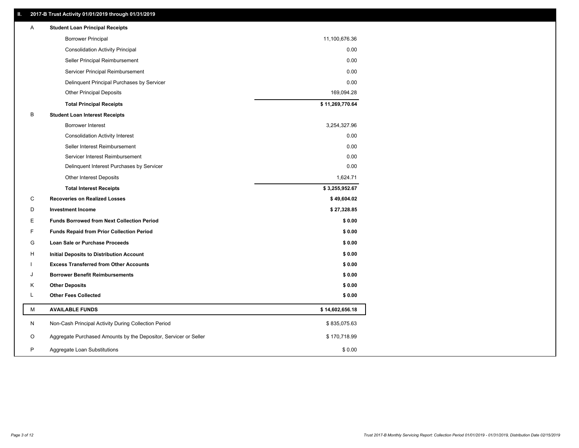### **II. 2017-B Trust Activity 01/01/2019 through 01/31/2019**

| Α | <b>Student Loan Principal Receipts</b>                           |                 |  |
|---|------------------------------------------------------------------|-----------------|--|
|   | <b>Borrower Principal</b>                                        | 11,100,676.36   |  |
|   | <b>Consolidation Activity Principal</b>                          | 0.00            |  |
|   | Seller Principal Reimbursement                                   | 0.00            |  |
|   | Servicer Principal Reimbursement                                 | 0.00            |  |
|   | Delinquent Principal Purchases by Servicer                       | 0.00            |  |
|   | <b>Other Principal Deposits</b>                                  | 169,094.28      |  |
|   | <b>Total Principal Receipts</b>                                  | \$11,269,770.64 |  |
| B | <b>Student Loan Interest Receipts</b>                            |                 |  |
|   | <b>Borrower Interest</b>                                         | 3,254,327.96    |  |
|   | <b>Consolidation Activity Interest</b>                           | 0.00            |  |
|   | Seller Interest Reimbursement                                    | 0.00            |  |
|   | Servicer Interest Reimbursement                                  | 0.00            |  |
|   | Delinquent Interest Purchases by Servicer                        | 0.00            |  |
|   | <b>Other Interest Deposits</b>                                   | 1,624.71        |  |
|   | <b>Total Interest Receipts</b>                                   | \$3,255,952.67  |  |
| C | <b>Recoveries on Realized Losses</b>                             | \$49,604.02     |  |
| D | <b>Investment Income</b>                                         | \$27,328.85     |  |
| Е | <b>Funds Borrowed from Next Collection Period</b>                | \$0.00          |  |
| F | <b>Funds Repaid from Prior Collection Period</b>                 | \$0.00          |  |
| G | Loan Sale or Purchase Proceeds                                   | \$0.00          |  |
| н | Initial Deposits to Distribution Account                         | \$0.00          |  |
|   | <b>Excess Transferred from Other Accounts</b>                    | \$0.00          |  |
| J | <b>Borrower Benefit Reimbursements</b>                           | \$0.00          |  |
| Κ | <b>Other Deposits</b>                                            | \$0.00          |  |
| L | <b>Other Fees Collected</b>                                      | \$0.00          |  |
| M | <b>AVAILABLE FUNDS</b>                                           | \$14,602,656.18 |  |
| N | Non-Cash Principal Activity During Collection Period             | \$835,075.63    |  |
| O | Aggregate Purchased Amounts by the Depositor, Servicer or Seller | \$170,718.99    |  |
| P | Aggregate Loan Substitutions                                     | \$0.00          |  |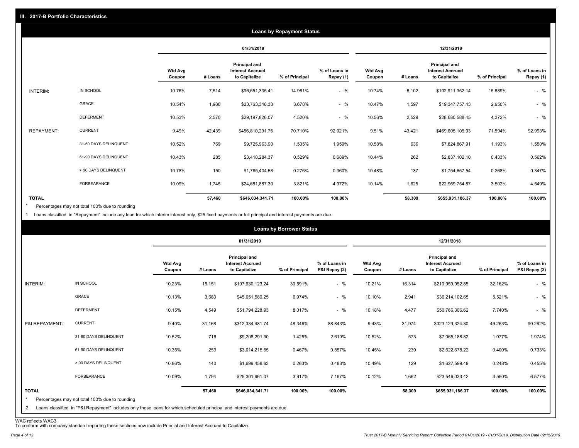|                   |                       |                          |         |                                                           | <b>Loans by Repayment Status</b> |                            |                          |         |                                                                  |                |                            |
|-------------------|-----------------------|--------------------------|---------|-----------------------------------------------------------|----------------------------------|----------------------------|--------------------------|---------|------------------------------------------------------------------|----------------|----------------------------|
|                   |                       |                          |         | 01/31/2019                                                |                                  |                            |                          |         | 12/31/2018                                                       |                |                            |
|                   |                       | <b>Wtd Avg</b><br>Coupon | # Loans | Principal and<br><b>Interest Accrued</b><br>to Capitalize | % of Principal                   | % of Loans in<br>Repay (1) | <b>Wtd Avg</b><br>Coupon | # Loans | <b>Principal and</b><br><b>Interest Accrued</b><br>to Capitalize | % of Principal | % of Loans in<br>Repay (1) |
| INTERIM:          | IN SCHOOL             | 10.76%                   | 7,514   | \$96,651,335.41                                           | 14.961%                          | $-$ %                      | 10.74%                   | 8,102   | \$102,911,352.14                                                 | 15.689%        | $-$ %                      |
|                   | GRACE                 | 10.54%                   | 1,988   | \$23,763,348.33                                           | 3.678%                           | $-$ %                      | 10.47%                   | 1,597   | \$19,347,757.43                                                  | 2.950%         | $-$ %                      |
|                   | <b>DEFERMENT</b>      | 10.53%                   | 2,570   | \$29,197,826.07                                           | 4.520%                           | $-$ %                      | 10.56%                   | 2,529   | \$28,680,588.45                                                  | 4.372%         | $-$ %                      |
| <b>REPAYMENT:</b> | <b>CURRENT</b>        | 9.49%                    | 42,439  | \$456,810,291.75                                          | 70.710%                          | 92.021%                    | 9.51%                    | 43,421  | \$469,605,105.93                                                 | 71.594%        | 92.993%                    |
|                   | 31-60 DAYS DELINQUENT | 10.52%                   | 769     | \$9,725,963.90                                            | 1.505%                           | 1.959%                     | 10.58%                   | 636     | \$7,824,867.91                                                   | 1.193%         | 1.550%                     |
|                   | 61-90 DAYS DELINQUENT | 10.43%                   | 285     | \$3,418,284.37                                            | 0.529%                           | 0.689%                     | 10.44%                   | 262     | \$2,837,102.10                                                   | 0.433%         | 0.562%                     |
|                   | > 90 DAYS DELINQUENT  | 10.78%                   | 150     | \$1,785,404.58                                            | 0.276%                           | 0.360%                     | 10.48%                   | 137     | \$1,754,657.54                                                   | 0.268%         | 0.347%                     |
|                   | <b>FORBEARANCE</b>    | 10.09%                   | 1,745   | \$24,681,887.30                                           | 3.821%                           | 4.972%                     | 10.14%                   | 1,625   | \$22,969,754.87                                                  | 3.502%         | 4.549%                     |
| <b>TOTAL</b>      |                       |                          | 57,460  | \$646,034,341.71                                          | 100.00%                          | 100.00%                    |                          | 58,309  | \$655,931,186.37                                                 | 100.00%        | 100.00%                    |

Percentages may not total 100% due to rounding \*

1 Loans classified in "Repayment" include any loan for which interim interest only, \$25 fixed payments or full principal and interest payments are due.

|                         |                                                                                                                            |                          |         |                                                           | <b>Loans by Borrower Status</b> |                                |                          |         |                                                           |                |                                |
|-------------------------|----------------------------------------------------------------------------------------------------------------------------|--------------------------|---------|-----------------------------------------------------------|---------------------------------|--------------------------------|--------------------------|---------|-----------------------------------------------------------|----------------|--------------------------------|
|                         |                                                                                                                            |                          |         | 01/31/2019                                                |                                 |                                |                          |         | 12/31/2018                                                |                |                                |
|                         |                                                                                                                            | <b>Wtd Avg</b><br>Coupon | # Loans | Principal and<br><b>Interest Accrued</b><br>to Capitalize | % of Principal                  | % of Loans in<br>P&I Repay (2) | <b>Wtd Avg</b><br>Coupon | # Loans | Principal and<br><b>Interest Accrued</b><br>to Capitalize | % of Principal | % of Loans in<br>P&I Repay (2) |
| INTERIM:                | IN SCHOOL                                                                                                                  | 10.23%                   | 15,151  | \$197,630,123.24                                          | 30.591%                         | $-$ %                          | 10.21%                   | 16,314  | \$210,959,952.85                                          | 32.162%        | $-$ %                          |
|                         | GRACE                                                                                                                      | 10.13%                   | 3,683   | \$45,051,580.25                                           | 6.974%                          | $-$ %                          | 10.10%                   | 2,941   | \$36,214,102.65                                           | 5.521%         | $-$ %                          |
|                         | <b>DEFERMENT</b>                                                                                                           | 10.15%                   | 4,549   | \$51,794,228.93                                           | 8.017%                          | $-$ %                          | 10.18%                   | 4,477   | \$50,766,306.62                                           | 7.740%         | $-$ %                          |
| P&I REPAYMENT:          | <b>CURRENT</b>                                                                                                             | 9.40%                    | 31,168  | \$312,334,481.74                                          | 48.346%                         | 88.843%                        | 9.43%                    | 31,974  | \$323,129,324.30                                          | 49.263%        | 90.262%                        |
|                         | 31-60 DAYS DELINQUENT                                                                                                      | 10.52%                   | 716     | \$9,208,291.30                                            | 1.425%                          | 2.619%                         | 10.52%                   | 573     | \$7,065,188.82                                            | 1.077%         | 1.974%                         |
|                         | 61-90 DAYS DELINQUENT                                                                                                      | 10.35%                   | 259     | \$3,014,215.55                                            | 0.467%                          | 0.857%                         | 10.45%                   | 239     | \$2,622,678.22                                            | 0.400%         | 0.733%                         |
|                         | > 90 DAYS DELINQUENT                                                                                                       | 10.86%                   | 140     | \$1,699,459.63                                            | 0.263%                          | 0.483%                         | 10.49%                   | 129     | \$1,627,599.49                                            | 0.248%         | 0.455%                         |
|                         | <b>FORBEARANCE</b>                                                                                                         | 10.09%                   | 1,794   | \$25,301,961.07                                           | 3.917%                          | 7.197%                         | 10.12%                   | 1,662   | \$23,546,033.42                                           | 3.590%         | 6.577%                         |
| <b>TOTAL</b><br>$\star$ | Percentages may not total 100% due to rounding                                                                             |                          | 57,460  | \$646,034,341.71                                          | 100.00%                         | 100.00%                        |                          | 58,309  | \$655,931,186.37                                          | 100.00%        | 100.00%                        |
| $\mathbf{2}$            | Loans classified in "P&I Repayment" includes only those loans for which scheduled principal and interest payments are due. |                          |         |                                                           |                                 |                                |                          |         |                                                           |                |                                |

WAC reflects WAC3 To conform with company standard reporting these sections now include Princial and Interest Accrued to Capitalize.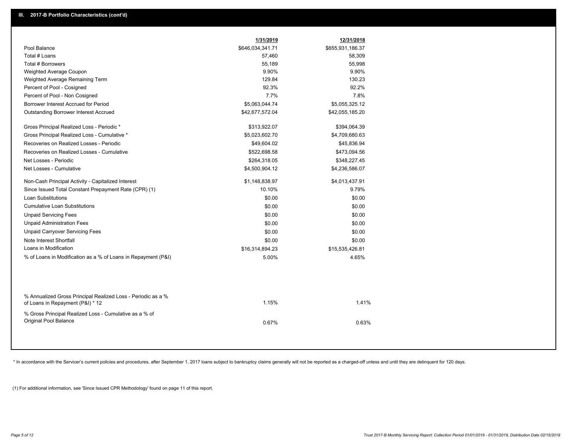|                                                                                                  | 1/31/2019        | 12/31/2018       |
|--------------------------------------------------------------------------------------------------|------------------|------------------|
| Pool Balance                                                                                     | \$646,034,341.71 | \$655,931,186.37 |
| Total # Loans                                                                                    | 57,460           | 58,309           |
| <b>Total # Borrowers</b>                                                                         | 55,189           | 55,998           |
| Weighted Average Coupon                                                                          | 9.90%            | 9.90%            |
| Weighted Average Remaining Term                                                                  | 129.84           | 130.23           |
| Percent of Pool - Cosigned                                                                       | 92.3%            | 92.2%            |
| Percent of Pool - Non Cosigned                                                                   | 7.7%             | 7.8%             |
| Borrower Interest Accrued for Period                                                             | \$5,063,044.74   | \$5,055,325.12   |
| <b>Outstanding Borrower Interest Accrued</b>                                                     | \$42,677,572.04  | \$42,055,185.20  |
| Gross Principal Realized Loss - Periodic *                                                       | \$313,922.07     | \$394,064.39     |
| Gross Principal Realized Loss - Cumulative *                                                     | \$5,023,602.70   | \$4,709,680.63   |
| Recoveries on Realized Losses - Periodic                                                         | \$49,604.02      | \$45,836.94      |
| Recoveries on Realized Losses - Cumulative                                                       | \$522,698.58     | \$473,094.56     |
| Net Losses - Periodic                                                                            | \$264,318.05     | \$348,227.45     |
| Net Losses - Cumulative                                                                          | \$4,500,904.12   | \$4,236,586.07   |
| Non-Cash Principal Activity - Capitalized Interest                                               | \$1,148,838.97   | \$4,013,437.91   |
| Since Issued Total Constant Prepayment Rate (CPR) (1)                                            | 10.10%           | 9.79%            |
| <b>Loan Substitutions</b>                                                                        | \$0.00           | \$0.00           |
| <b>Cumulative Loan Substitutions</b>                                                             | \$0.00           | \$0.00           |
| <b>Unpaid Servicing Fees</b>                                                                     | \$0.00           | \$0.00           |
| <b>Unpaid Administration Fees</b>                                                                | \$0.00           | \$0.00           |
| <b>Unpaid Carryover Servicing Fees</b>                                                           | \$0.00           | \$0.00           |
| Note Interest Shortfall                                                                          | \$0.00           | \$0.00           |
| Loans in Modification                                                                            | \$16,314,894.23  | \$15,535,426.81  |
| % of Loans in Modification as a % of Loans in Repayment (P&I)                                    | 5.00%            | 4.65%            |
|                                                                                                  |                  |                  |
| % Annualized Gross Principal Realized Loss - Periodic as a %<br>of Loans in Repayment (P&I) * 12 | 1.15%            | 1.41%            |
| % Gross Principal Realized Loss - Cumulative as a % of                                           |                  |                  |
| Original Pool Balance                                                                            | 0.67%            | 0.63%            |

\* In accordance with the Servicer's current policies and procedures, after September 1, 2017 loans subject to bankruptcy claims generally will not be reported as a charged-off unless and until they are delinquent for 120 d

(1) For additional information, see 'Since Issued CPR Methodology' found on page 11 of this report.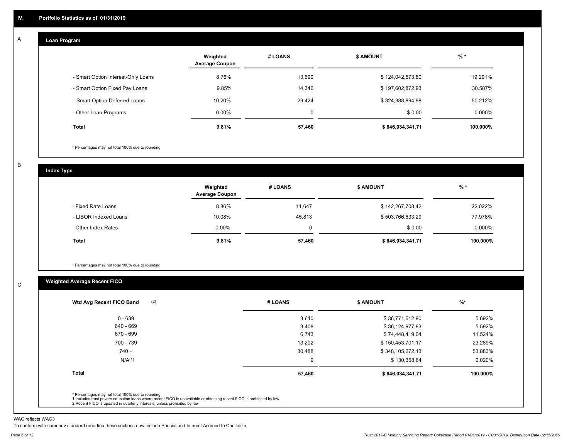#### **Loan Program**  A

|                                    | Weighted<br><b>Average Coupon</b> | # LOANS  | <b>\$ AMOUNT</b> | $%$ *     |
|------------------------------------|-----------------------------------|----------|------------------|-----------|
| - Smart Option Interest-Only Loans | 8.76%                             | 13,690   | \$124,042,573.80 | 19.201%   |
| - Smart Option Fixed Pay Loans     | 9.85%                             | 14,346   | \$197,602,872.93 | 30.587%   |
| - Smart Option Deferred Loans      | 10.20%                            | 29.424   | \$324,388,894.98 | 50.212%   |
| - Other Loan Programs              | $0.00\%$                          | $\Omega$ | \$0.00           | $0.000\%$ |
| <b>Total</b>                       | 9.81%                             | 57,460   | \$646,034,341.71 | 100.000%  |

\* Percentages may not total 100% due to rounding

B

C

**Index Type**

|                       | Weighted<br><b>Average Coupon</b> | # LOANS | <b>\$ AMOUNT</b> | $%$ *    |
|-----------------------|-----------------------------------|---------|------------------|----------|
| - Fixed Rate Loans    | 8.86%                             | 11.647  | \$142,267,708.42 | 22.022%  |
| - LIBOR Indexed Loans | 10.08%                            | 45.813  | \$503,766,633.29 | 77.978%  |
| - Other Index Rates   | $0.00\%$                          |         | \$0.00           | 0.000%   |
| <b>Total</b>          | 9.81%                             | 57,460  | \$646,034,341.71 | 100.000% |

\* Percentages may not total 100% due to rounding

### **Weighted Average Recent FICO**

| (2)<br>Wtd Avg Recent FICO Band                                                                                                                                             | # LOANS | <b>\$ AMOUNT</b> | $%$ *    |
|-----------------------------------------------------------------------------------------------------------------------------------------------------------------------------|---------|------------------|----------|
| $0 - 639$                                                                                                                                                                   | 3,610   | \$36,771,612.90  | 5.692%   |
| 640 - 669                                                                                                                                                                   | 3,408   | \$36,124,977.83  | 5.592%   |
| 670 - 699                                                                                                                                                                   | 6,743   | \$74,448,419.04  | 11.524%  |
| 700 - 739                                                                                                                                                                   | 13,202  | \$150,453,701.17 | 23.289%  |
| $740 +$                                                                                                                                                                     | 30,488  | \$348,105,272.13 | 53.883%  |
| N/A(1)                                                                                                                                                                      | 9       | \$130,358.64     | 0.020%   |
| Total                                                                                                                                                                       | 57,460  | \$646,034,341.71 | 100.000% |
| * Percentages may not total 100% due to rounding<br>1 Includes trust private education loans where recent FICO is unavailable or obtaining recent FICO is prohibited by law |         |                  |          |

WAC reflects WAC3

To conform with company standard reporting these sections now include Princial and Interest Accrued to Capitalize.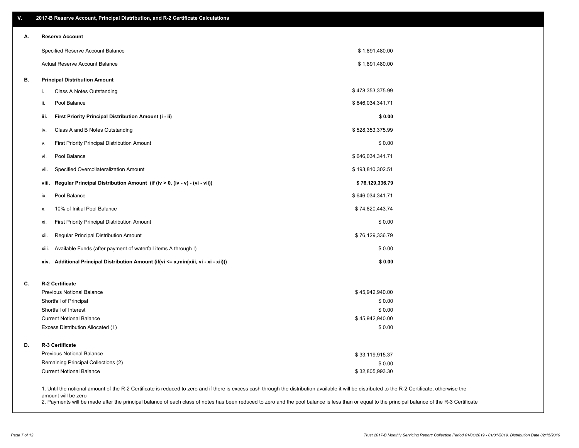| ۷. | 2017-B Reserve Account, Principal Distribution, and R-2 Certificate Calculations                                                                                                                                          |                  |  |
|----|---------------------------------------------------------------------------------------------------------------------------------------------------------------------------------------------------------------------------|------------------|--|
| А. | <b>Reserve Account</b>                                                                                                                                                                                                    |                  |  |
|    | Specified Reserve Account Balance                                                                                                                                                                                         | \$1,891,480.00   |  |
|    | <b>Actual Reserve Account Balance</b>                                                                                                                                                                                     | \$1,891,480.00   |  |
| В. | <b>Principal Distribution Amount</b>                                                                                                                                                                                      |                  |  |
|    | Class A Notes Outstanding<br>i.                                                                                                                                                                                           | \$478,353,375.99 |  |
|    | Pool Balance<br>ii.                                                                                                                                                                                                       | \$646,034,341.71 |  |
|    | First Priority Principal Distribution Amount (i - ii)<br>iii.                                                                                                                                                             | \$0.00           |  |
|    | Class A and B Notes Outstanding<br>iv.                                                                                                                                                                                    | \$528,353,375.99 |  |
|    | First Priority Principal Distribution Amount<br>v.                                                                                                                                                                        | \$0.00           |  |
|    | Pool Balance<br>vi.                                                                                                                                                                                                       | \$646,034,341.71 |  |
|    | Specified Overcollateralization Amount<br>vii.                                                                                                                                                                            | \$193,810,302.51 |  |
|    | Regular Principal Distribution Amount (if (iv > 0, (iv - v) - (vi - vii))<br>viii.                                                                                                                                        | \$76,129,336.79  |  |
|    | Pool Balance<br>ix.                                                                                                                                                                                                       | \$646,034,341.71 |  |
|    | 10% of Initial Pool Balance<br>х.                                                                                                                                                                                         | \$74,820,443.74  |  |
|    | First Priority Principal Distribution Amount<br>xi.                                                                                                                                                                       | \$0.00           |  |
|    | Regular Principal Distribution Amount<br>xii.                                                                                                                                                                             | \$76,129,336.79  |  |
|    | Available Funds (after payment of waterfall items A through I)<br>xiii.                                                                                                                                                   | \$0.00           |  |
|    | Additional Principal Distribution Amount (if(vi <= x,min(xiii, vi - xi - xii)))<br>xiv.                                                                                                                                   | \$0.00           |  |
| C. | R-2 Certificate                                                                                                                                                                                                           |                  |  |
|    | <b>Previous Notional Balance</b>                                                                                                                                                                                          | \$45,942,940.00  |  |
|    | Shortfall of Principal                                                                                                                                                                                                    | \$0.00           |  |
|    | Shortfall of Interest                                                                                                                                                                                                     | \$0.00           |  |
|    | <b>Current Notional Balance</b>                                                                                                                                                                                           | \$45,942,940.00  |  |
|    | Excess Distribution Allocated (1)                                                                                                                                                                                         | \$0.00           |  |
| D. | R-3 Certificate                                                                                                                                                                                                           |                  |  |
|    | <b>Previous Notional Balance</b>                                                                                                                                                                                          | \$33,119,915.37  |  |
|    | Remaining Principal Collections (2)                                                                                                                                                                                       | \$0.00           |  |
|    | <b>Current Notional Balance</b>                                                                                                                                                                                           | \$32,805,993.30  |  |
|    | 1. Until the notional amount of the R-2 Certificate is reduced to zero and if there is excess cash through the distribution available it will be distributed to the R-2 Certificate, otherwise the<br>amount will be zero |                  |  |

2. Payments will be made after the principal balance of each class of notes has been reduced to zero and the pool balance is less than or equal to the principal balance of the R-3 Certificate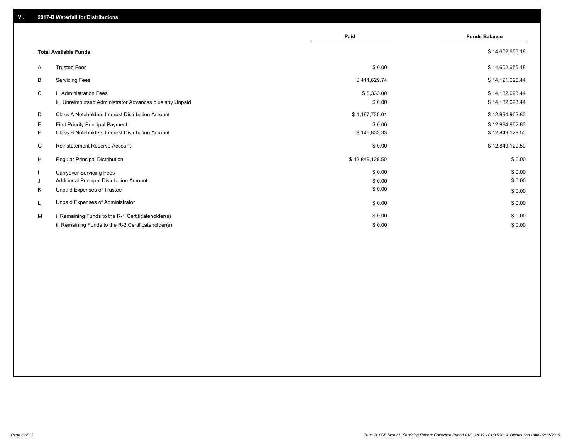|    |                                                         | Paid            | <b>Funds Balance</b> |
|----|---------------------------------------------------------|-----------------|----------------------|
|    | <b>Total Available Funds</b>                            |                 | \$14,602,656.18      |
| A  | <b>Trustee Fees</b>                                     | \$0.00          | \$14,602,656.18      |
| B  | <b>Servicing Fees</b>                                   | \$411,629.74    | \$14,191,026.44      |
| C  | i. Administration Fees                                  | \$8,333.00      | \$14,182,693.44      |
|    | ii. Unreimbursed Administrator Advances plus any Unpaid | \$0.00          | \$14,182,693.44      |
| D  | Class A Noteholders Interest Distribution Amount        | \$1,187,730.61  | \$12,994,962.83      |
| Е  | <b>First Priority Principal Payment</b>                 | \$0.00          | \$12,994,962.83      |
| F. | <b>Class B Noteholders Interest Distribution Amount</b> | \$145,833.33    | \$12,849,129.50      |
| G  | <b>Reinstatement Reserve Account</b>                    | \$0.00          | \$12,849,129.50      |
| H  | Regular Principal Distribution                          | \$12,849,129.50 | \$0.00               |
|    | <b>Carryover Servicing Fees</b>                         | \$0.00          | \$0.00               |
| J  | Additional Principal Distribution Amount                | \$0.00          | \$0.00               |
| ĸ  | Unpaid Expenses of Trustee                              | \$0.00          | \$0.00               |
|    | Unpaid Expenses of Administrator                        | \$0.00          | \$0.00               |
| м  | i. Remaining Funds to the R-1 Certificateholder(s)      | \$0.00          | \$0.00               |
|    | ii. Remaining Funds to the R-2 Certificateholder(s)     | \$0.00          | \$0.00               |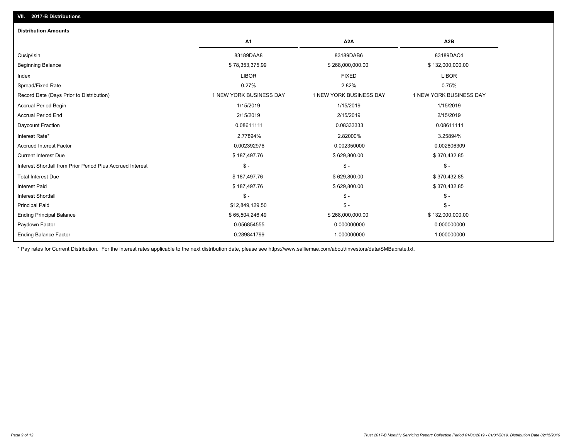| <b>Distribution Amounts</b>                                |                         |                         |                         |
|------------------------------------------------------------|-------------------------|-------------------------|-------------------------|
|                                                            | A <sub>1</sub>          | A <sub>2</sub> A        | A2B                     |
| Cusip/Isin                                                 | 83189DAA8               | 83189DAB6               | 83189DAC4               |
| <b>Beginning Balance</b>                                   | \$78,353,375.99         | \$268,000,000.00        | \$132,000,000.00        |
| Index                                                      | <b>LIBOR</b>            | <b>FIXED</b>            | <b>LIBOR</b>            |
| Spread/Fixed Rate                                          | 0.27%                   | 2.82%                   | 0.75%                   |
| Record Date (Days Prior to Distribution)                   | 1 NEW YORK BUSINESS DAY | 1 NEW YORK BUSINESS DAY | 1 NEW YORK BUSINESS DAY |
| <b>Accrual Period Begin</b>                                | 1/15/2019               | 1/15/2019               | 1/15/2019               |
| <b>Accrual Period End</b>                                  | 2/15/2019               | 2/15/2019               | 2/15/2019               |
| Daycount Fraction                                          | 0.08611111              | 0.08333333              | 0.08611111              |
| Interest Rate*                                             | 2.77894%                | 2.82000%                | 3.25894%                |
| <b>Accrued Interest Factor</b>                             | 0.002392976             | 0.002350000             | 0.002806309             |
| <b>Current Interest Due</b>                                | \$187,497.76            | \$629,800.00            | \$370,432.85            |
| Interest Shortfall from Prior Period Plus Accrued Interest | $\mathsf{\$}$ -         | $$ -$                   | $\mathcal{S}$ -         |
| <b>Total Interest Due</b>                                  | \$187,497.76            | \$629,800.00            | \$370,432.85            |
| <b>Interest Paid</b>                                       | \$187,497.76            | \$629,800.00            | \$370,432.85            |
| Interest Shortfall                                         | $\mathsf{\$}$ -         | $$ -$                   | $$ -$                   |
| <b>Principal Paid</b>                                      | \$12,849,129.50         | $$ -$                   | $$ -$                   |
| <b>Ending Principal Balance</b>                            | \$65,504,246.49         | \$268,000,000.00        | \$132,000,000.00        |
| Paydown Factor                                             | 0.056854555             | 0.000000000             | 0.000000000             |
| <b>Ending Balance Factor</b>                               | 0.289841799             | 1.000000000             | 1.000000000             |

\* Pay rates for Current Distribution. For the interest rates applicable to the next distribution date, please see https://www.salliemae.com/about/investors/data/SMBabrate.txt.

**VII. 2017-B Distributions**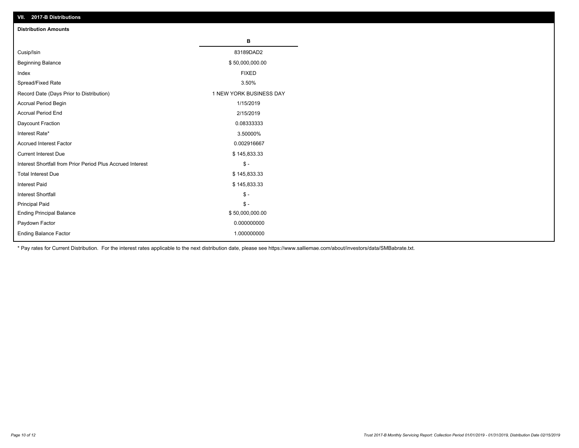| VII. 2017-B Distributions                                  |                         |
|------------------------------------------------------------|-------------------------|
| <b>Distribution Amounts</b>                                |                         |
|                                                            | в                       |
| Cusip/Isin                                                 | 83189DAD2               |
| <b>Beginning Balance</b>                                   | \$50,000,000.00         |
| Index                                                      | <b>FIXED</b>            |
| Spread/Fixed Rate                                          | 3.50%                   |
| Record Date (Days Prior to Distribution)                   | 1 NEW YORK BUSINESS DAY |
| Accrual Period Begin                                       | 1/15/2019               |
| <b>Accrual Period End</b>                                  | 2/15/2019               |
| Daycount Fraction                                          | 0.08333333              |
| Interest Rate*                                             | 3.50000%                |
| <b>Accrued Interest Factor</b>                             | 0.002916667             |
| <b>Current Interest Due</b>                                | \$145,833.33            |
| Interest Shortfall from Prior Period Plus Accrued Interest | $\frac{1}{2}$           |
| <b>Total Interest Due</b>                                  | \$145,833.33            |
| Interest Paid                                              | \$145,833.33            |
| Interest Shortfall                                         | $\frac{1}{2}$           |
| <b>Principal Paid</b>                                      | $\frac{1}{2}$           |
| <b>Ending Principal Balance</b>                            | \$50,000,000.00         |
| Paydown Factor                                             | 0.000000000             |
| Ending Balance Factor                                      | 1.000000000             |

\* Pay rates for Current Distribution. For the interest rates applicable to the next distribution date, please see https://www.salliemae.com/about/investors/data/SMBabrate.txt.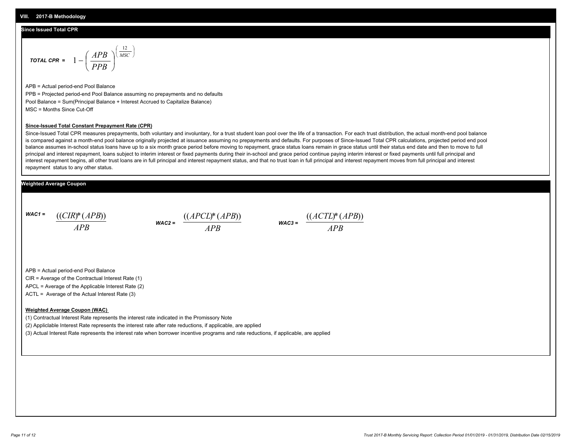#### **Since Issued Total CPR**

$$
\text{total CPR} = 1 - \left(\frac{APB}{PPB}\right)^{\left(\frac{12}{MSC}\right)}
$$

APB = Actual period-end Pool Balance PPB = Projected period-end Pool Balance assuming no prepayments and no defaults Pool Balance = Sum(Principal Balance + Interest Accrued to Capitalize Balance) MSC = Months Since Cut-Off

#### **Since-Issued Total Constant Prepayment Rate (CPR)**

Since-Issued Total CPR measures prepayments, both voluntary and involuntary, for a trust student loan pool over the life of a transaction. For each trust distribution, the actual month-end pool balance is compared against a month-end pool balance originally projected at issuance assuming no prepayments and defaults. For purposes of Since-Issued Total CPR calculations, projected period end pool balance assumes in-school status loans have up to a six month grace period before moving to repayment, grace status loans remain in grace status until their status end date and then to move to full principal and interest repayment, loans subject to interim interest or fixed payments during their in-school and grace period continue paying interim interest or fixed payments until full principal and interest repayment begins, all other trust loans are in full principal and interest repayment status, and that no trust loan in full principal and interest repayment moves from full principal and interest repayment status to any other status.

#### **Weighted Average Coupon**

*WAC1 = APB* ((*CIR*)\*(*APB*))

*WAC2 = APB*



APB = Actual period-end Pool Balance

CIR = Average of the Contractual Interest Rate (1)

APCL = Average of the Applicable Interest Rate (2)

ACTL = Average of the Actual Interest Rate (3)

#### **Weighted Average Coupon (WAC)**

(1) Contractual Interest Rate represents the interest rate indicated in the Promissory Note

(2) Appliclable Interest Rate represents the interest rate after rate reductions, if applicable, are applied

(3) Actual Interest Rate represents the interest rate when borrower incentive programs and rate reductions, if applicable, are applied